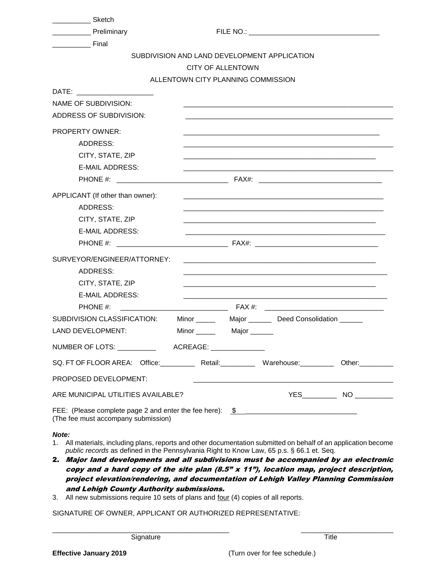| <b>Example 25</b> Sketch                                                                                                                                                                                                       |                          |  |                                                                                                                                                                                                                               |  |  |  |  |  |
|--------------------------------------------------------------------------------------------------------------------------------------------------------------------------------------------------------------------------------|--------------------------|--|-------------------------------------------------------------------------------------------------------------------------------------------------------------------------------------------------------------------------------|--|--|--|--|--|
| <b>No. 7 Preliminary</b>                                                                                                                                                                                                       |                          |  |                                                                                                                                                                                                                               |  |  |  |  |  |
|                                                                                                                                                                                                                                |                          |  |                                                                                                                                                                                                                               |  |  |  |  |  |
| SUBDIVISION AND LAND DEVELOPMENT APPLICATION                                                                                                                                                                                   |                          |  |                                                                                                                                                                                                                               |  |  |  |  |  |
|                                                                                                                                                                                                                                | <b>CITY OF ALLENTOWN</b> |  |                                                                                                                                                                                                                               |  |  |  |  |  |
| ALLENTOWN CITY PLANNING COMMISSION                                                                                                                                                                                             |                          |  |                                                                                                                                                                                                                               |  |  |  |  |  |
| DATE: the contract of the contract of the contract of the contract of the contract of the contract of the contract of the contract of the contract of the contract of the contract of the contract of the contract of the cont |                          |  |                                                                                                                                                                                                                               |  |  |  |  |  |
| <b>NAME OF SUBDIVISION:</b>                                                                                                                                                                                                    |                          |  |                                                                                                                                                                                                                               |  |  |  |  |  |
| ADDRESS OF SUBDIVISION:                                                                                                                                                                                                        |                          |  |                                                                                                                                                                                                                               |  |  |  |  |  |
| <b>PROPERTY OWNER:</b>                                                                                                                                                                                                         |                          |  |                                                                                                                                                                                                                               |  |  |  |  |  |
| ADDRESS:                                                                                                                                                                                                                       |                          |  |                                                                                                                                                                                                                               |  |  |  |  |  |
| CITY, STATE, ZIP                                                                                                                                                                                                               |                          |  |                                                                                                                                                                                                                               |  |  |  |  |  |
| <b>E-MAIL ADDRESS:</b>                                                                                                                                                                                                         |                          |  |                                                                                                                                                                                                                               |  |  |  |  |  |
| PHONE #: ________________                                                                                                                                                                                                      |                          |  |                                                                                                                                                                                                                               |  |  |  |  |  |
| APPLICANT (If other than owner):                                                                                                                                                                                               |                          |  |                                                                                                                                                                                                                               |  |  |  |  |  |
| ADDRESS:                                                                                                                                                                                                                       |                          |  |                                                                                                                                                                                                                               |  |  |  |  |  |
| CITY, STATE, ZIP                                                                                                                                                                                                               |                          |  | and the control of the control of the control of the control of the control of the control of the control of the                                                                                                              |  |  |  |  |  |
| <b>E-MAIL ADDRESS:</b>                                                                                                                                                                                                         |                          |  |                                                                                                                                                                                                                               |  |  |  |  |  |
| $PHONE$ #: $FAX#$ : $FAX#$ :                                                                                                                                                                                                   |                          |  |                                                                                                                                                                                                                               |  |  |  |  |  |
| SURVEYOR/ENGINEER/ATTORNEY:                                                                                                                                                                                                    |                          |  |                                                                                                                                                                                                                               |  |  |  |  |  |
| <b>ADDRESS:</b>                                                                                                                                                                                                                |                          |  |                                                                                                                                                                                                                               |  |  |  |  |  |
| CITY, STATE, ZIP                                                                                                                                                                                                               |                          |  | the control of the control of the control of the control of the control of the control of the control of the control of the control of the control of the control of the control of the control of the control of the control |  |  |  |  |  |
| <b>E-MAIL ADDRESS:</b>                                                                                                                                                                                                         |                          |  |                                                                                                                                                                                                                               |  |  |  |  |  |
| PHONE #:                                                                                                                                                                                                                       |                          |  |                                                                                                                                                                                                                               |  |  |  |  |  |
| SUBDIVISION CLASSIFICATION:                                                                                                                                                                                                    |                          |  | Minor ________ Major ________ Deed Consolidation ______                                                                                                                                                                       |  |  |  |  |  |
| <b>LAND DEVELOPMENT:</b>                                                                                                                                                                                                       |                          |  |                                                                                                                                                                                                                               |  |  |  |  |  |
| NUMBER OF LOTS: ____________  ACREAGE: ______________                                                                                                                                                                          |                          |  |                                                                                                                                                                                                                               |  |  |  |  |  |
| SQ. FT OF FLOOR AREA: Office: Retail: Warehouse: Other: Other:                                                                                                                                                                 |                          |  |                                                                                                                                                                                                                               |  |  |  |  |  |
| PROPOSED DEVELOPMENT:                                                                                                                                                                                                          |                          |  | and the control of the control of the control of the control of the control of the control of the control of the                                                                                                              |  |  |  |  |  |
| ARE MUNICIPAL UTILITIES AVAILABLE?                                                                                                                                                                                             |                          |  |                                                                                                                                                                                                                               |  |  |  |  |  |
| FEE: (Please complete page 2 and enter the fee here): \$<br>(The fee must accompany submission)                                                                                                                                |                          |  |                                                                                                                                                                                                                               |  |  |  |  |  |

## *Note:*

- 1. All materials, including plans, reports and other documentation submitted on behalf of an application become *public records* as defined in the Pennsylvania Right to Know Law, 65 p.s. § 66.1 et. Seq.
- 2. Major land developments and all subdivisions must be accompanied by an electronic copy and a hard copy of the site plan  $(8.5" \times 11")$ , location map, project description, project elevation/rendering, and documentation of Lehigh Valley Planning Commission and Lehigh County Authority submissions.
- 3. All new submissions require 10 sets of plans and four (4) copies of all reports.

SIGNATURE OF OWNER, APPLICANT OR AUTHORIZED REPRESENTATIVE: